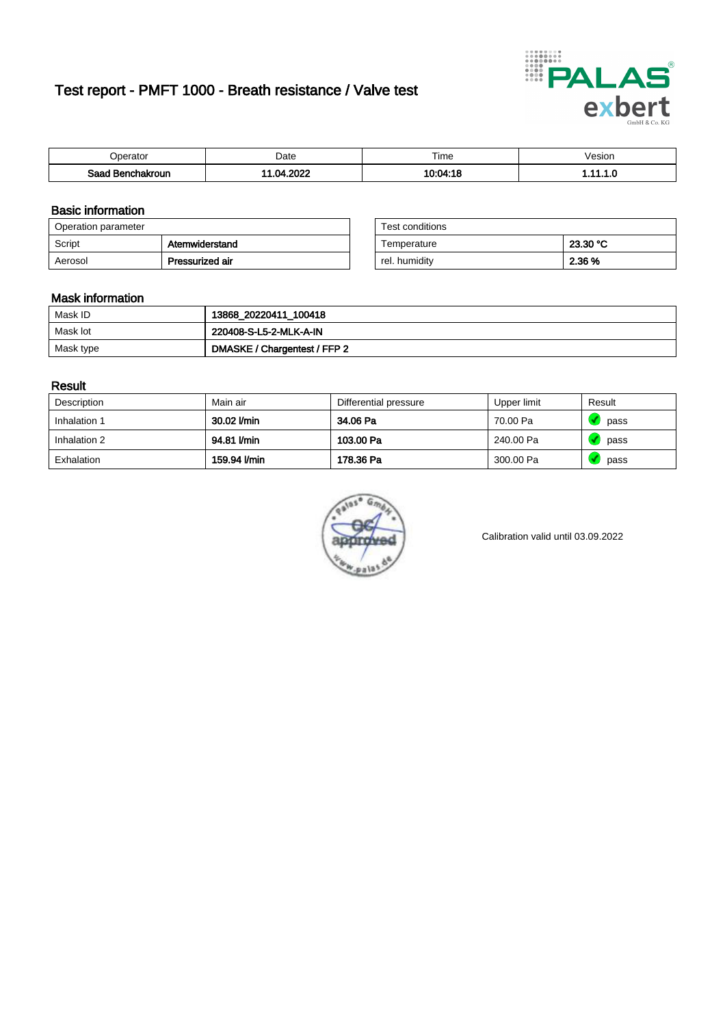# Test report - PMFT 1000 - Breath resistance / Valve test



| nerator <sup>'</sup>          | Date       | $- \cdot$<br><b>Time</b> | /esion |
|-------------------------------|------------|--------------------------|--------|
| Saad<br><b>nchakroun</b><br>. | יממה<br>nл | ۱۸۰۸⊿۰۱۶                 | .      |

### Basic information

| Operation parameter |                 | Test conditions |          |
|---------------------|-----------------|-----------------|----------|
| Script              | Atemwiderstand  | Temperature     | 23.30 °C |
| Aerosol             | Pressurized air | rel. humidity   | 2.36 %   |

| Test conditions |          |
|-----------------|----------|
| Temperature     | 23.30 °C |
| rel. humidity   | 2.36 %   |

#### Mask information

| Mask ID   | 13868_20220411_100418        |
|-----------|------------------------------|
| Mask lot  | 220408-S-L5-2-MLK-A-IN       |
| Mask type | DMASKE / Chargentest / FFP 2 |

### Result

| Description  | Main air     | Differential pressure | Upper limit | Result |
|--------------|--------------|-----------------------|-------------|--------|
| Inhalation 1 | 30.02 l/min  | 34.06 Pa              | 70.00 Pa    | pass   |
| Inhalation 2 | 94.81 l/min  | 103.00 Pa             | 240.00 Pa   | pass   |
| Exhalation   | 159.94 l/min | 178.36 Pa             | 300.00 Pa   | pass   |



Calibration valid until 03.09.2022